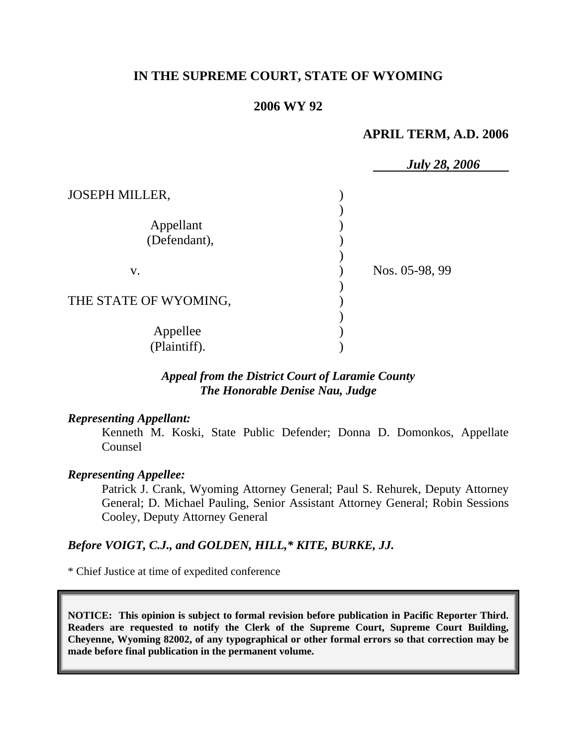# **IN THE SUPREME COURT, STATE OF WYOMING**

## **2006 WY 92**

## **APRIL TERM, A.D. 2006**

|                           | <b>July 28, 2006</b> |  |
|---------------------------|----------------------|--|
| <b>JOSEPH MILLER,</b>     |                      |  |
| Appellant<br>(Defendant), |                      |  |
| V.                        | Nos. 05-98, 99       |  |
| THE STATE OF WYOMING,     |                      |  |
| Appellee<br>(Plaintiff).  |                      |  |

### *Appeal from the District Court of Laramie County The Honorable Denise Nau, Judge*

#### *Representing Appellant:*

Kenneth M. Koski, State Public Defender; Donna D. Domonkos, Appellate Counsel

#### *Representing Appellee:*

Patrick J. Crank, Wyoming Attorney General; Paul S. Rehurek, Deputy Attorney General; D. Michael Pauling, Senior Assistant Attorney General; Robin Sessions Cooley, Deputy Attorney General

### *Before VOIGT, C.J., and GOLDEN, HILL,\* KITE, BURKE, JJ.*

\* Chief Justice at time of expedited conference

**NOTICE: This opinion is subject to formal revision before publication in Pacific Reporter Third. Readers are requested to notify the Clerk of the Supreme Court, Supreme Court Building, Cheyenne, Wyoming 82002, of any typographical or other formal errors so that correction may be made before final publication in the permanent volume.**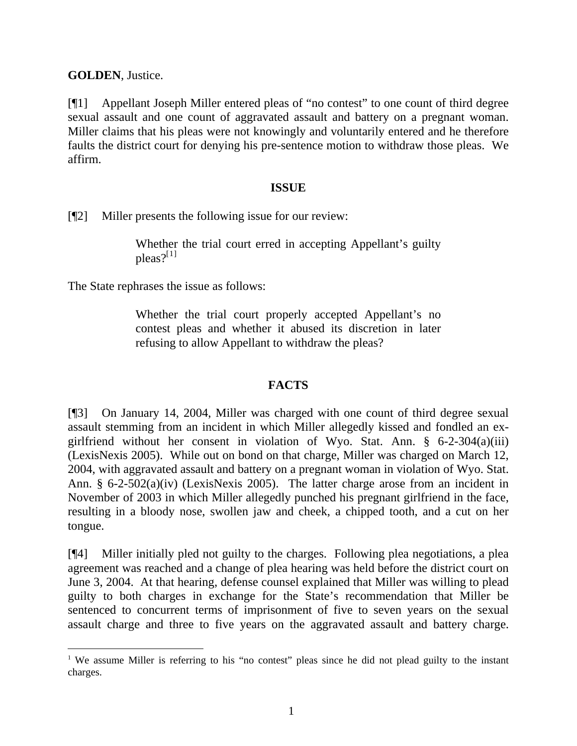**GOLDEN**, Justice.

[¶1] Appellant Joseph Miller entered pleas of "no contest" to one count of third degree sexual assault and one count of aggravated assault and battery on a pregnant woman. Miller claims that his pleas were not knowingly and voluntarily entered and he therefore faults the district court for denying his pre-sentence motion to withdraw those pleas. We affirm.

## **ISSUE**

[¶2] Miller presents the following issue for our review:

Whether the trial court erred in accepting Appellant's guilty  $p$ leas? $|$ <sup>11</sup>

The State rephrases the issue as follows:

Whether the trial court properly accepted Appellant's no contest pleas and whether it abused its discretion in later refusing to allow Appellant to withdraw the pleas?

# **FACTS**

[¶3] On January 14, 2004, Miller was charged with one count of third degree sexual assault stemming from an incident in which Miller allegedly kissed and fondled an exgirlfriend without her consent in violation of Wyo. Stat. Ann. § 6-2-304(a)(iii) (LexisNexis 2005). While out on bond on that charge, Miller was charged on March 12, 2004, with aggravated assault and battery on a pregnant woman in violation of Wyo. Stat. Ann. § 6-2-502(a)(iv) (LexisNexis 2005). The latter charge arose from an incident in November of 2003 in which Miller allegedly punched his pregnant girlfriend in the face, resulting in a bloody nose, swollen jaw and cheek, a chipped tooth, and a cut on her tongue.

[¶4] Miller initially pled not guilty to the charges. Following plea negotiations, a plea agreement was reached and a change of plea hearing was held before the district court on June 3, 2004. At that hearing, defense counsel explained that Miller was willing to plead guilty to both charges in exchange for the State's recommendation that Miller be sentenced to concurrent terms of imprisonment of five to seven years on the sexual assault charge and three to five years on the aggravated assault and battery charge.

<span id="page-1-0"></span><sup>&</sup>lt;sup>1</sup> We assume Miller is referring to his "no contest" pleas since he did not plead guilty to the instant charges.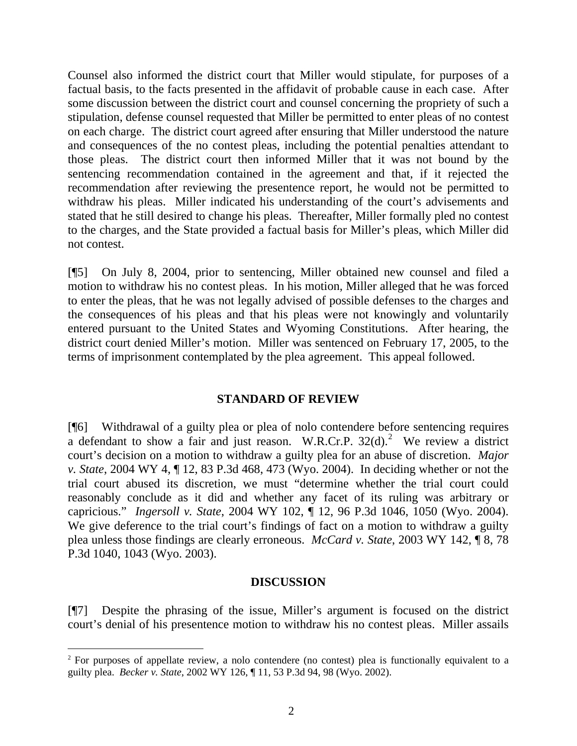Counsel also informed the district court that Miller would stipulate, for purposes of a factual basis, to the facts presented in the affidavit of probable cause in each case. After some discussion between the district court and counsel concerning the propriety of such a stipulation, defense counsel requested that Miller be permitted to enter pleas of no contest on each charge. The district court agreed after ensuring that Miller understood the nature and consequences of the no contest pleas, including the potential penalties attendant to those pleas. The district court then informed Miller that it was not bound by the sentencing recommendation contained in the agreement and that, if it rejected the recommendation after reviewing the presentence report, he would not be permitted to withdraw his pleas. Miller indicated his understanding of the court's advisements and stated that he still desired to change his pleas. Thereafter, Miller formally pled no contest to the charges, and the State provided a factual basis for Miller's pleas, which Miller did not contest.

[¶5] On July 8, 2004, prior to sentencing, Miller obtained new counsel and filed a motion to withdraw his no contest pleas. In his motion, Miller alleged that he was forced to enter the pleas, that he was not legally advised of possible defenses to the charges and the consequences of his pleas and that his pleas were not knowingly and voluntarily entered pursuant to the United States and Wyoming Constitutions. After hearing, the district court denied Miller's motion. Miller was sentenced on February 17, 2005, to the terms of imprisonment contemplated by the plea agreement. This appeal followed.

### **STANDARD OF REVIEW**

[¶6] Withdrawal of a guilty plea or plea of nolo contendere before sentencing requires a defendant to show a fair and just reason. W.R.Cr.P.  $32(d)$  $32(d)$  $32(d)$ .<sup>2</sup> We review a district court's decision on a motion to withdraw a guilty plea for an abuse of discretion. *Major v. State*, 2004 WY 4, ¶ 12, 83 P.3d 468, 473 (Wyo. 2004). In deciding whether or not the trial court abused its discretion, we must "determine whether the trial court could reasonably conclude as it did and whether any facet of its ruling was arbitrary or capricious." *Ingersoll v. State*, 2004 WY 102, ¶ 12, 96 P.3d 1046, 1050 (Wyo. 2004). We give deference to the trial court's findings of fact on a motion to withdraw a guilty plea unless those findings are clearly erroneous. *McCard v. State*, 2003 WY 142, ¶ 8, 78 P.3d 1040, 1043 (Wyo. 2003).

#### **DISCUSSION**

[¶7] Despite the phrasing of the issue, Miller's argument is focused on the district court's denial of his presentence motion to withdraw his no contest pleas. Miller assails

<span id="page-2-0"></span><sup>&</sup>lt;sup>2</sup> For purposes of appellate review, a nolo contendere (no contest) plea is functionally equivalent to a guilty plea. *Becker v. State*, 2002 WY 126, ¶ 11, 53 P.3d 94, 98 (Wyo. 2002).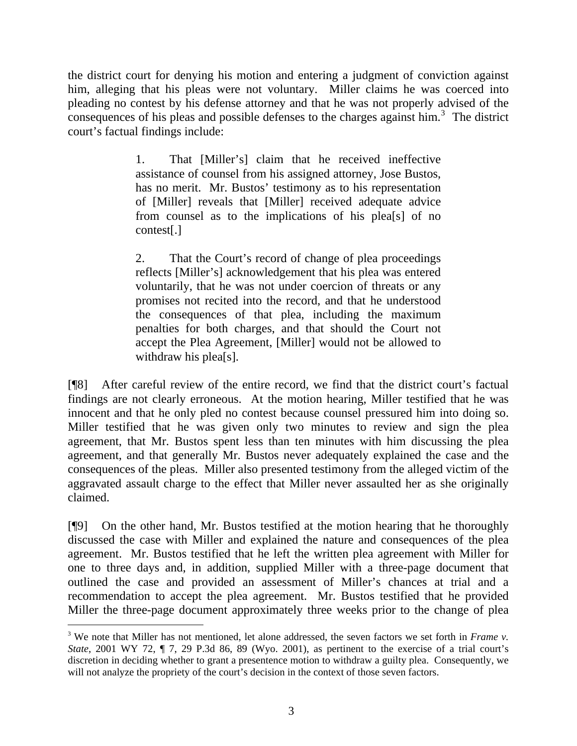the district court for denying his motion and entering a judgment of conviction against him, alleging that his pleas were not voluntary. Miller claims he was coerced into pleading no contest by his defense attorney and that he was not properly advised of the consequences of his pleas and possible defenses to the charges against him.<sup>[3](#page-3-0)</sup> The district court's factual findings include:

> 1. That [Miller's] claim that he received ineffective assistance of counsel from his assigned attorney, Jose Bustos, has no merit. Mr. Bustos' testimony as to his representation of [Miller] reveals that [Miller] received adequate advice from counsel as to the implications of his plea[s] of no contest[.]

> 2. That the Court's record of change of plea proceedings reflects [Miller's] acknowledgement that his plea was entered voluntarily, that he was not under coercion of threats or any promises not recited into the record, and that he understood the consequences of that plea, including the maximum penalties for both charges, and that should the Court not accept the Plea Agreement, [Miller] would not be allowed to withdraw his plea<sup>[s]</sup>.

[¶8] After careful review of the entire record, we find that the district court's factual findings are not clearly erroneous. At the motion hearing, Miller testified that he was innocent and that he only pled no contest because counsel pressured him into doing so. Miller testified that he was given only two minutes to review and sign the plea agreement, that Mr. Bustos spent less than ten minutes with him discussing the plea agreement, and that generally Mr. Bustos never adequately explained the case and the consequences of the pleas. Miller also presented testimony from the alleged victim of the aggravated assault charge to the effect that Miller never assaulted her as she originally claimed.

[¶9] On the other hand, Mr. Bustos testified at the motion hearing that he thoroughly discussed the case with Miller and explained the nature and consequences of the plea agreement. Mr. Bustos testified that he left the written plea agreement with Miller for one to three days and, in addition, supplied Miller with a three-page document that outlined the case and provided an assessment of Miller's chances at trial and a recommendation to accept the plea agreement. Mr. Bustos testified that he provided Miller the three-page document approximately three weeks prior to the change of plea

l

<span id="page-3-0"></span><sup>3</sup> We note that Miller has not mentioned, let alone addressed, the seven factors we set forth in *Frame v. State*, 2001 WY 72, ¶ 7, 29 P.3d 86, 89 (Wyo. 2001), as pertinent to the exercise of a trial court's discretion in deciding whether to grant a presentence motion to withdraw a guilty plea. Consequently, we will not analyze the propriety of the court's decision in the context of those seven factors.